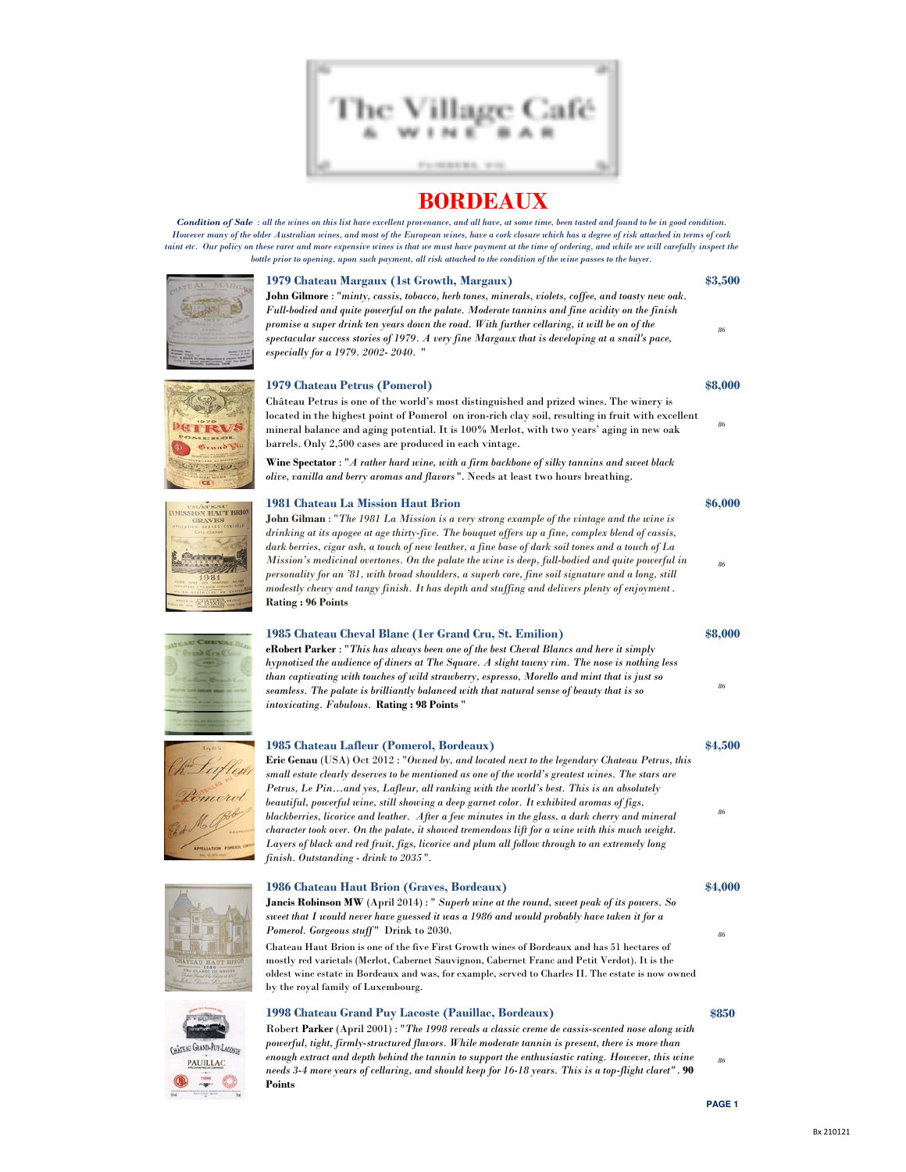

Condition of Sale : all the wines on this list have excellent provenance, and all have, at some time, been tasted and found to be in good condition. However many of the older Australian wines, and most of the European wines, have a cork closure which has a degree of risk attached in terms of cork taint etc. Our policy on these rarer and more expensive wines is that we must have payment at the time of ordering, and while we will carefully inspect the bottle prior to opening, upon such payment, all risk attached to the condition of the wine passes to the buyer.



### 1979 Chateau Margaux (1st Growth, Margaux) \$3,500

John Gilmore : "minty, cassis, tobacco, herb tones, minerals, violets, coffee, and toasty new oak. Full-bodied and quite powerful on the palate. Moderate tannins and fine acidity on the finish promise a super drink ten years down the road. With further cellaring, it will be on of the spectacular success stories of 1979. A very fine Margaux that is developing at a snail's pace, especially for a 1979. 2002- 2040. "

### 1979 Chateau Petrus (Pomerol) \$8,000

Château Petrus is one of the world's most distinguished and prized wines. The winery is located in the highest point of Pomerol on iron-rich clay soil, resulting in fruit with excellent mineral balance and aging potential. It is 100% Merlot, with two years' aging in new oak barrels. Only 2,500 cases are produced in each vintage.

Wine Spectator : "A rather hard wine, with a firm backbone of silky tannins and sweet black olive, vanilla and berry aromas and flavors ". Needs at least two hours breathing.

### 1981 Chateau La Mission Haut Brion **\$6,000 \$6,000**

John Gilman : "The 1981 La Mission is a very strong example of the vintage and the wine is drinking at its apogee at age thirty-five. The bouquet offers up a fine, complex blend of cassis, dark berries, cigar ash, a touch of new leather, a fine base of dark soil tones and a touch of La Mission's medicinal overtones. On the palate the wine is deep, full-bodied and quite powerful in personality for an '81, with broad shoulders, a superb core, fine soil signature and a long, still modestly chewy and tangy finish. It has depth and stuffing and delivers plenty of enjoyment . Rating : 96 Points

### 1985 Chateau Cheval Blanc (1er Grand Cru, St. Emilion) \$8,000

eRobert Parker : "This has always been one of the best Cheval Blancs and here it simply hypnotized the audience of diners at The Square. A slight tawny rim. The nose is nothing less than captivating with touches of wild strawberry, espresso, Morello and mint that is just so seamless. The palate is brilliantly balanced with that natural sense of beauty that is so intoxicating. Fabulous. Rating : 98 Points "

### 1985 Chateau Lafleur (Pomerol, Bordeaux) \$4,500

Eric Genau (USA) Oct 2012 : "Owned by, and located next to the legendary Chateau Petrus, this small estate clearly deserves to be mentioned as one of the world's greatest wines. The stars are Petrus, Le Pin…and yes, Lafleur, all ranking with the world's best. This is an absolutely beautiful, powerful wine, still showing a deep garnet color. It exhibited aromas of figs, blackberries, licorice and leather. After a few minutes in the glass, a dark cherry and mineral character took over. On the palate, it showed tremendous lift for a wine with this much weight. Layers of black and red fruit, figs, licorice and plum all follow through to an extremely long finish. Outstanding - drink to 2035 ".

| 1986 Chateau Haut Brion (Graves, Bordeaux)                                                                                                                                                                                                                                                                                               |
|------------------------------------------------------------------------------------------------------------------------------------------------------------------------------------------------------------------------------------------------------------------------------------------------------------------------------------------|
| <b>Jancis Robinson MW</b> (April 2014): " Superb wine at the round, sweet peak of its powers. So                                                                                                                                                                                                                                         |
| sweet that I would never have guessed it was a 1986 and would probably have taken it for a                                                                                                                                                                                                                                               |
| <i>Pomerol. Gorgeous stuff</i> " Drink to 2030.                                                                                                                                                                                                                                                                                          |
| Chateau Haut Brion is one of the five First Growth wines of Bordeaux and has 51 hectares of<br>mostly red varietals (Merlot, Cabernet Sauvignon, Cabernet Franc and Petit Verdot). It is the<br>oldest wine estate in Bordeaux and was, for example, served to Charles II. The estate is now owned<br>by the royal family of Luxembourg. |

## 1998 Chateau Grand Puy Lacoste (Pauillac, Bordeaux)

### \$850

86

86

86

86

86

\$4,000

86

Robert Parker (April 2001) : "The 1998 reveals a classic creme de cassis-scented nose along with powerful, tight, firmly-structured flavors. While moderate tannin is present, there is more than enough extract and depth behind the tannin to support the enthusiastic rating. However, this wine needs 3-4 more years of cellaring, and should keep for 16-18 years. This is a top-flight claret" . 90 Points

**PAGE 1**

86





 $\overline{C}$ 





GRAND-PUY-LACOGO PAUILLAC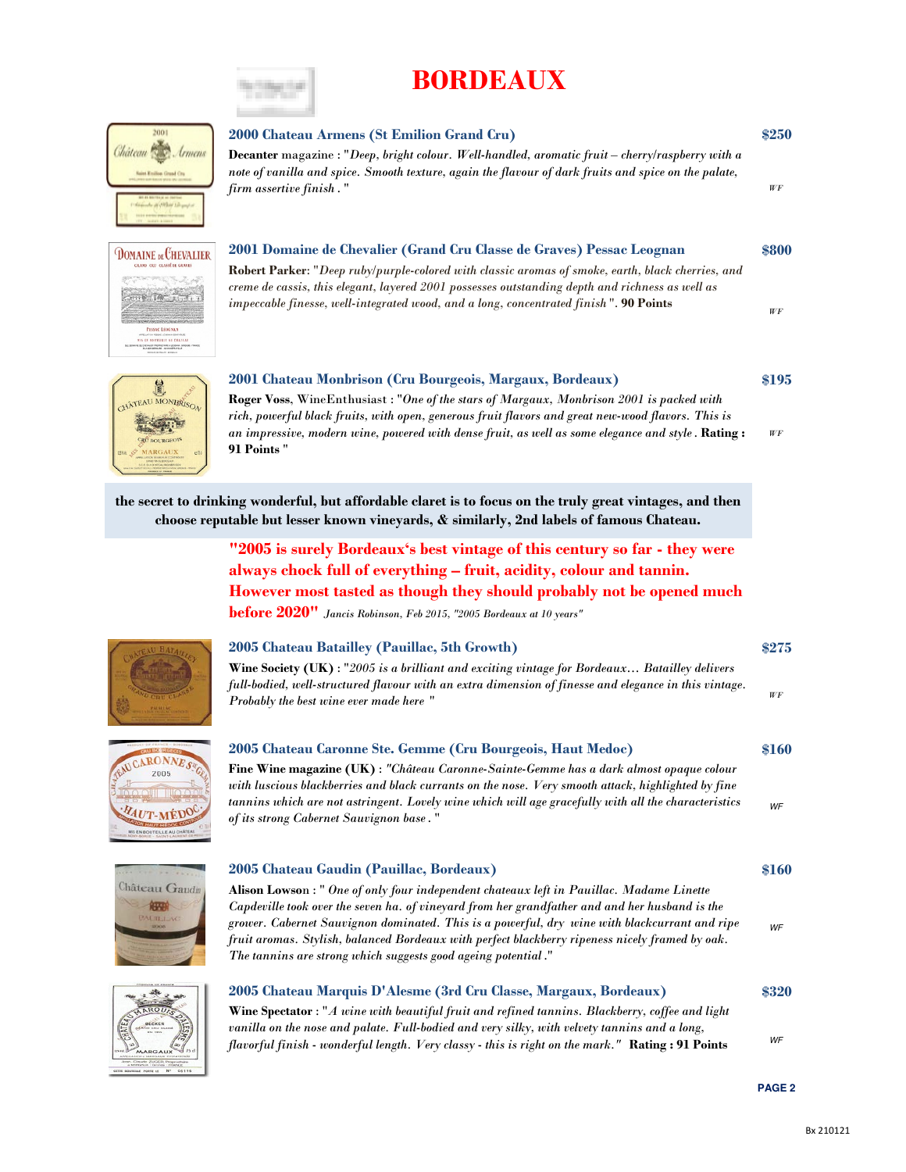

| 2001<br>Château<br><i>Grmens</i> |  |
|----------------------------------|--|
|                                  |  |

**DOMAINE DE CHEVALIER** 

P. J. R. Jan

PESSAC LEOGNAN

### 2000 Chateau Armens (St Emilion Grand Cru)

Decanter magazine : "Deep, bright colour. Well-handled, aromatic fruit – cherry/raspberry with a note of vanilla and spice. Smooth texture, again the flavour of dark fruits and spice on the palate, firm assertive finish . "

### 2001 Domaine de Chevalier (Grand Cru Classe de Graves) Pessac Leognan

Robert Parker: "Deep ruby/purple-colored with classic aromas of smoke, earth, black cherries, and creme de cassis, this elegant, layered 2001 possesses outstanding depth and richness as well as impeccable finesse, well-integrated wood, and a long, concentrated finish ". 90 Points



### 2001 Chateau Monbrison (Cru Bourgeois, Margaux, Bordeaux)

WF Roger Voss, WineEnthusiast : "One of the stars of Margaux, Monbrison 2001 is packed with rich, powerful black fruits, with open, generous fruit flavors and great new-wood flavors. This is an impressive, modern wine, powered with dense fruit, as well as some elegance and style. Rating : 91 Points "

the secret to drinking wonderful, but affordable claret is to focus on the truly great vintages, and then choose reputable but lesser known vineyards, & similarly, 2nd labels of famous Chateau.

> "2005 is surely Bordeaux's best vintage of this century so far - they were always chock full of everything – fruit, acidity, colour and tannin. However most tasted as though they should probably not be opened much **before**  $2020"$  Jancis Robinson, Feb 2015, "2005 Bordeaux at 10 years"



### 2005 Chateau Batailley (Pauillac, 5th Growth)

Wine Society (UK) : "2005 is a brilliant and exciting vintage for Bordeaux... Batailley delivers full-bodied, well-structured flavour with an extra dimension of finesse and elegance in this vintage. Probably the best wine ever made here "

## RONNE 2005 HAUT-MEDO

## 2005 Chateau Caronne Ste. Gemme (Cru Bourgeois, Haut Medoc)

Fine Wine magazine (UK) : "Château Caronne-Sainte-Gemme has a dark almost opaque colour with luscious blackberries and black currants on the nose. Very smooth attack, highlighted by fine tannins which are not astringent. Lovely wine which will age gracefully with all the characteristics of its strong Cabernet Sauvignon base. "



### 2005 Chateau Gaudin (Pauillac, Bordeaux) Alison Lowson : " One of only four independent chateaux left in Pauillac. Madame Linette Capdeville took over the seven ha. of vineyard from her grandfather and and her husband is the grower. Cabernet Sauvignon dominated. This is a powerful, dry wine with blackcurrant and ripe fruit aromas. Stylish, balanced Bordeaux with perfect blackberry ripeness nicely framed by oak. The tannins are strong which suggests good ageing potential ."

## 2005 Chateau Marquis D'Alesme (3rd Cru Classe, Margaux, Bordeaux)

Wine Spectator : "A wine with beautiful fruit and refined tannins. Blackberry, coffee and light vanilla on the nose and palate. Full-bodied and very silky, with velvety tannins and a long, flavorful finish - wonderful length. Very classy - this is right on the mark." Rating: 91 Points



\$320

\$250

WF

\$800

WF

\$195

\$275

WF

\$160

WF

\$160

WF

### **PAGE 2**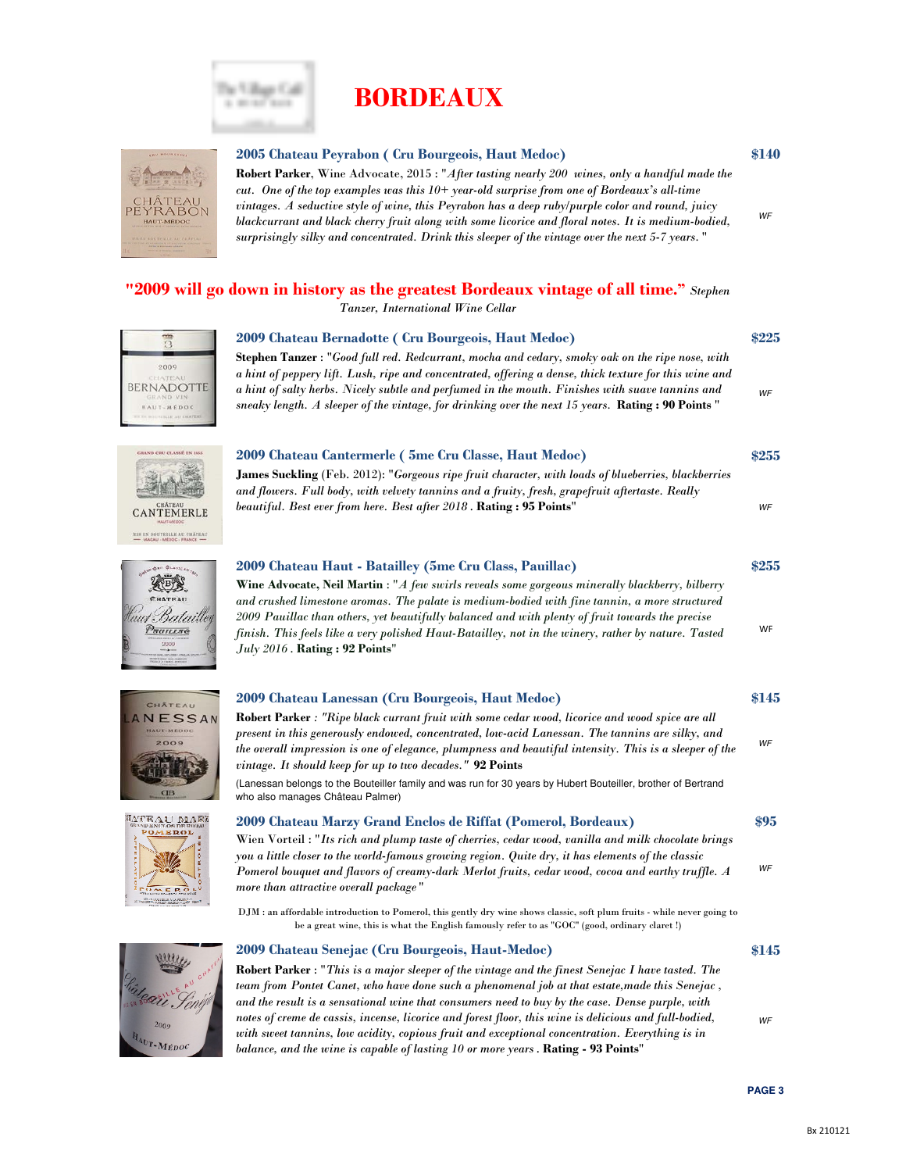

The Village Call a months

### 2005 Chateau Peyrabon ( Cru Bourgeois, Haut Medoc)

WF Robert Parker, Wine Advocate, 2015 : "After tasting nearly 200 wines, only a handful made the cut. One of the top examples was this  $10+$  year-old surprise from one of Bordeaux's all-time vintages. A seductive style of wine, this Peyrabon has a deep ruby/purple color and round, juicy blackcurrant and black cherry fruit along with some licorice and floral notes. It is medium-bodied, surprisingly silky and concentrated. Drink this sleeper of the vintage over the next 5-7 years. "

### "2009 will go down in history as the greatest Bordeaux vintage of all time." Stephen

2009 Chateau Bernadotte ( Cru Bourgeois, Haut Medoc)

Tanzer, International Wine Cellar



Stephen Tanzer : "Good full red. Redcurrant, mocha and cedary, smoky oak on the ripe nose, with a hint of peppery lift. Lush, ripe and concentrated, offering a dense, thick texture for this wine and a hint of salty herbs. Nicely subtle and perfumed in the mouth. Finishes with suave tannins and sneaky length. A sleeper of the vintage, for drinking over the next 15 years. Rating : 90 Points "

### 2009 Chateau Cantermerle ( 5me Cru Classe, Haut Medoc) James Suckling (Feb. 2012): "Gorgeous ripe fruit character, with loads of blueberries, blackberries

and flowers. Full body, with velvety tannins and a fruity, fresh, grapefruit aftertaste. Really beautiful. Best ever from here. Best after 2018 . Rating : 95 Points"

## $\frac{1}{2}$   $\frac{2009 \text{ Chateau Haut - Batailley (5me Cru Class, Paulilac)}}{255}$  \$255 laut Bataille Prancae

**CANTEMERLE** MIN EN BOUTEILLE AU CHÂT







 $2009$  $A_{U}$ r-Médo



DJM : an affordable introduction to Pomerol, this gently dry wine shows classic, soft plum fruits - while never going to be a great wine, this is what the English famously refer to as "GOC" (good, ordinary claret !)

present in this generously endowed, concentrated, low-acid Lanessan. The tannins are silky, and the overall impression is one of elegance, plumpness and beautiful intensity. This is a sleeper of the

### 2009 Chateau Senejac (Cru Bourgeois, Haut-Medoc)

vintage. It should keep for up to two decades." 92 Points



WF

\$140

\$225

WF

\$255

WF

WF

\$145

WF

\$95

WF

\$145





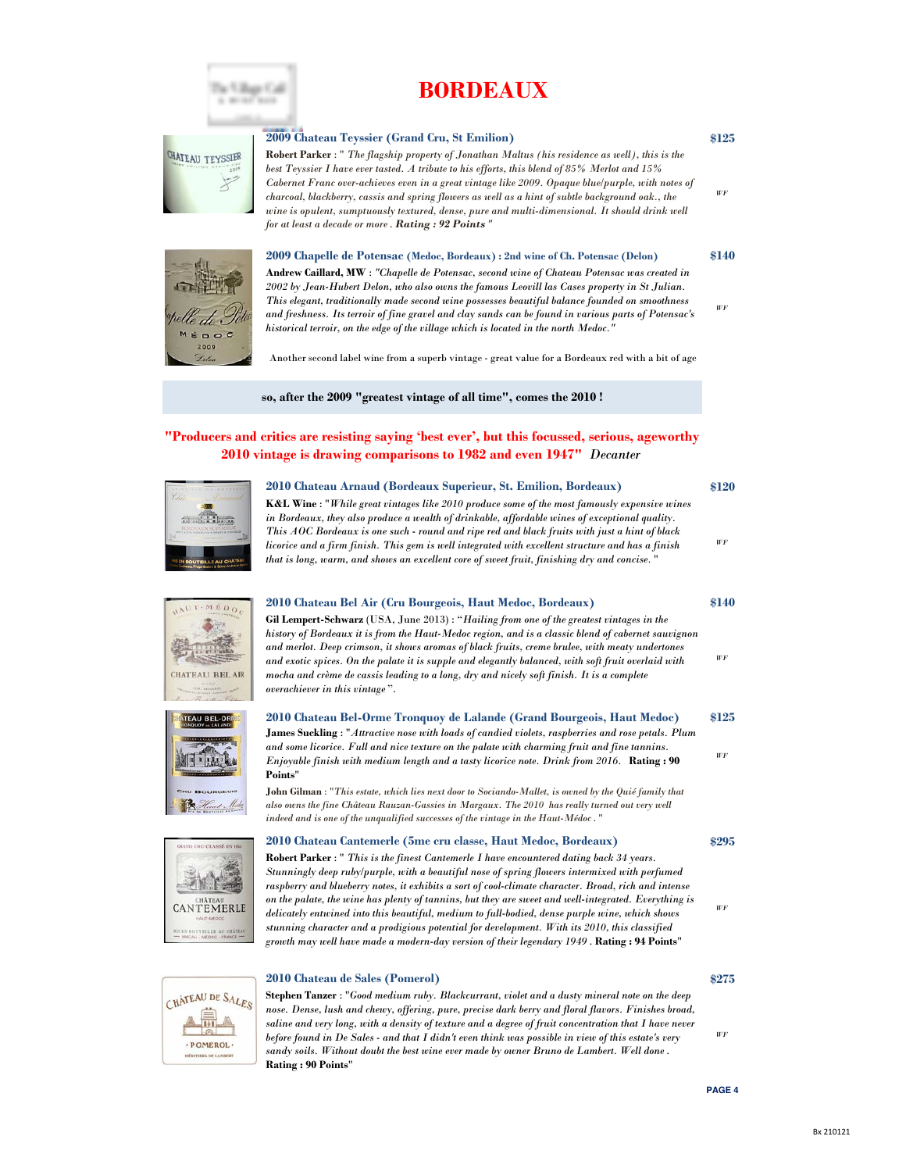

# CHATEAU TEYSSIER

The Village Call  $-100$ 

2009 Chateau Teyssier (Grand Cru, St Emilion)

Robert Parker : " The flagship property of Jonathan Maltus (his residence as well), this is the best Teyssier I have ever tasted. A tribute to his efforts, this blend of 85% Merlot and 15% Cabernet Franc over-achieves even in a great vintage like 2009. Opaque blue/purple, with notes of charcoal, blackberry, cassis and spring flowers as well as a hint of subtle background oak., the wine is opulent, sumptuously textured, dense, pure and multi-dimensional. It should drink well for at least a decade or more . Rating : 92 Points "

### 2009 Chapelle de Potensac (Medoc, Bordeaux) : 2nd wine of Ch. Potensac (Delon)



Andrew Caillard, MW : "Chapelle de Potensac, second wine of Chateau Potensac was created in 2002 by Jean-Hubert Delon, who also owns the famous Leovill las Cases property in St Julian. This elegant, traditionally made second wine possesses beautiful balance founded on smoothness and freshness. Its terroir of fine gravel and clay sands can be found in various parts of Potensac's historical terroir, on the edge of the village which is located in the north Medoc."

Another second label wine from a superb vintage - great value for a Bordeaux red with a bit of age

so, after the 2009 "greatest vintage of all time", comes the 2010 !

### "Producers and critics are resisting saying 'best ever', but this focussed, serious, ageworthy 2010 vintage is drawing comparisons to 1982 and even 1947" Decanter

2010 Chateau Bel Air (Cru Bourgeois, Haut Medoc, Bordeaux)

### 2010 Chateau Arnaud (Bordeaux Superieur, St. Emilion, Bordeaux)



K&L Wine : "While great vintages like 2010 produce some of the most famously expensive wines in Bordeaux, they also produce a wealth of drinkable, affordable wines of exceptional quality. This AOC Bordeaux is one such - round and ripe red and black fruits with just a hint of black licorice and a firm finish. This gem is well integrated with excellent structure and has a finish that is long, warm, and shows an excellent core of sweet fruit, finishing dry and concise. "

\$140

WF

WF

\$295

WF

\$120

WF

\$125

WF

\$140

WF







Gil Lempert-Schwarz (USA, June 2013) : "Hailing from one of the greatest vintages in the

\$125 2010 Chateau Bel-Orme Tronquoy de Lalande (Grand Bourgeois, Haut Medoc) James Suckling : "Attractive nose with loads of candied violets, raspberries and rose petals. Plum and some licorice. Full and nice texture on the palate with charming fruit and fine tannins. Enjoyable finish with medium length and a tasty licorice note. Drink from 2016. Rating : 90 Points"

John Gilman : "This estate, which lies next door to Sociando-Mallet, is owned by the Quié family that also owns the fine Château Rauzan-Gassies in Margaux. The 2010 has really turned out very well indeed and is one of the unqualified successes of the vintage in the Haut-Médoc. "

### 2010 Chateau Cantemerle (5me cru classe, Haut Medoc, Bordeaux)





**CANTEMERLE DOUTELLE AU CHATE** 

### 2010 Chateau de Sales (Pomerol)

Stephen Tanzer : "Good medium ruby. Blackcurrant, violet and a dusty mineral note on the deep nose. Dense, lush and chewy, offering, pure, precise dark berry and floral flavors. Finishes broad, saline and very long, with a density of texture and a degree of fruit concentration that I have never before found in De Sales - and that I didn't even think was possible in view of this estate's very sandy soils. Without doubt the best wine ever made by owner Bruno de Lambert. Well done . Rating : 90 Points"

WF

\$275

**PAGE 4**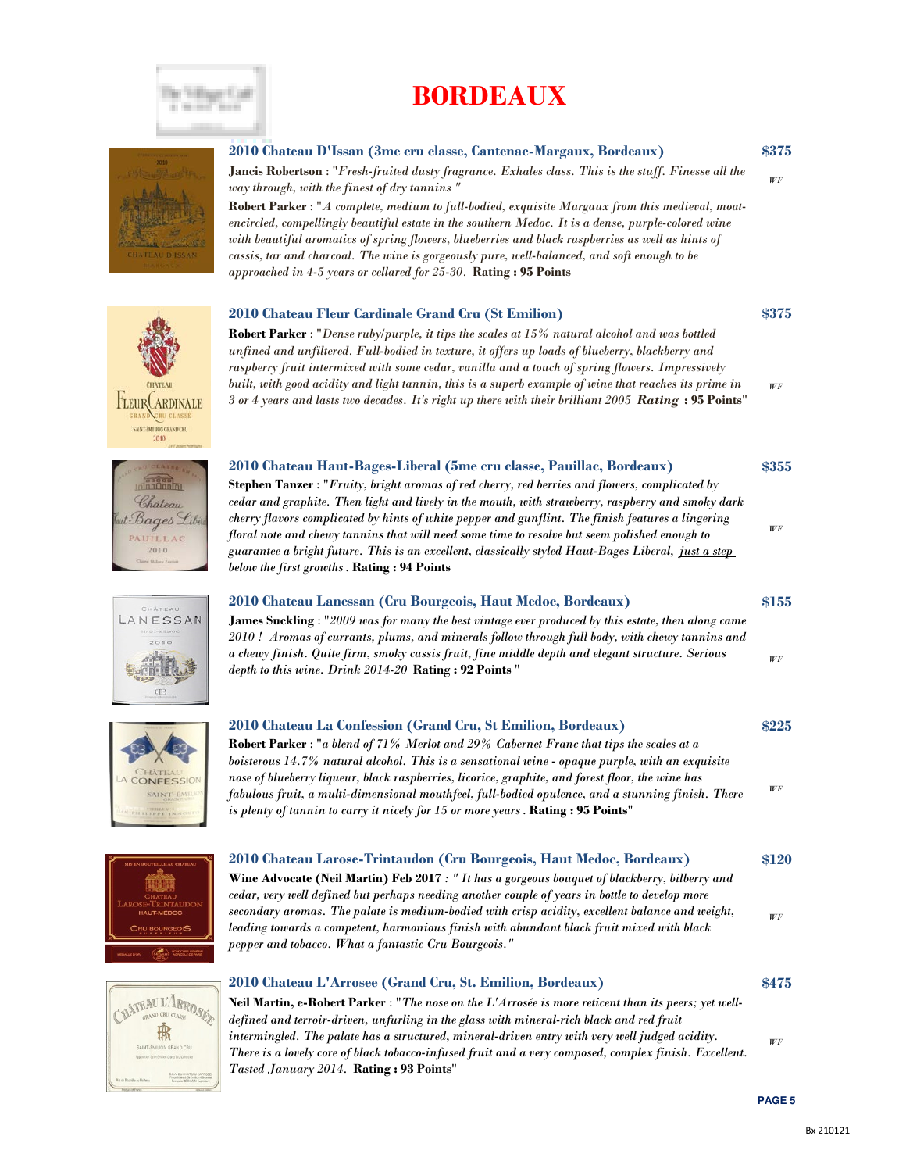



### \$375 2010 Chateau D'Issan (3me cru classe, Cantenac-Margaux, Bordeaux) Jancis Robertson : "Fresh-fruited dusty fragrance. Exhales class. This is the stuff. Finesse all the way through, with the finest of dry tannins "

Robert Parker : "A complete, medium to full-bodied, exquisite Margaux from this medieval, moatencircled, compellingly beautiful estate in the southern Medoc. It is a dense, purple-colored wine with beautiful aromatics of spring flowers, blueberries and black raspberries as well as hints of cassis, tar and charcoal. The wine is gorgeously pure, well-balanced, and soft enough to be approached in  $4-5$  years or cellared for  $25-30$ . Rating:  $95$  Points

### 2010 Chateau Fleur Cardinale Grand Cru (St Emilion)

**Robert Parker** : "Dense ruby/purple, it tips the scales at  $15\%$  natural alcohol and was bottled unfined and unfiltered. Full-bodied in texture, it offers up loads of blueberry, blackberry and raspberry fruit intermixed with some cedar, vanilla and a touch of spring flowers. Impressively built, with good acidity and light tannin, this is a superb example of wine that reaches its prime in 3 or 4 years and lasts two decades. It's right up there with their brilliant 2005 Rating : 95 Points"

### 2010 Chateau Haut-Bages-Liberal (5me cru classe, Pauillac, Bordeaux)

Stephen Tanzer : "Fruity, bright aromas of red cherry, red berries and flowers, complicated by cedar and graphite. Then light and lively in the mouth, with strawberry, raspberry and smoky dark cherry flavors complicated by hints of white pepper and gunflint. The finish features a lingering floral note and chewy tannins that will need some time to resolve but seem polished enough to guarantee a bright future. This is an excellent, classically styled Haut-Bages Liberal, just a step below the first growths. Rating : 94 Points

### 2010 Chateau Lanessan (Cru Bourgeois, Haut Medoc, Bordeaux)

James Suckling : "2009 was for many the best vintage ever produced by this estate, then along came 2010 ! Aromas of currants, plums, and minerals follow through full body, with chewy tannins and a chewy finish. Quite firm, smoky cassis fruit, fine middle depth and elegant structure. Serious depth to this wine. Drink 2014-20 Rating: 92 Points "

### 2010 Chateau La Confession (Grand Cru, St Emilion, Bordeaux)

Robert Parker : "a blend of 71% Merlot and 29% Cabernet Franc that tips the scales at a boisterous 14.7% natural alcohol. This is a sensational wine - opaque purple, with an exquisite nose of blueberry liqueur, black raspberries, licorice, graphite, and forest floor, the wine has fabulous fruit, a multi-dimensional mouthfeel, full-bodied opulence, and a stunning finish. There is plenty of tannin to carry it nicely for 15 or more years. Rating: 95 Points"



### 2010 Chateau L'Arrosee (Grand Cru, St. Emilion, Bordeaux)

Neil Martin, e-Robert Parker : "The nose on the L'Arrosée is more reticent than its peers; yet welldefined and terroir-driven, unfurling in the glass with mineral-rich black and red fruit intermingled. The palate has a structured, mineral-driven entry with very well judged acidity. There is a lovely core of black tobacco-infused fruit and a very composed, complex finish. Excellent. Tasted January 2014. Rating : 93 Points"



WF

\$475

WF

\$375

WF

\$355

WF

\$155

WF

\$225

WF









 $\overline{AB}$ 

ONFESSIO SAINT EMP



TLEUR ARDINALE SAINT ÉMILION GRAND CRU 2010

Chateau t Bages Libi